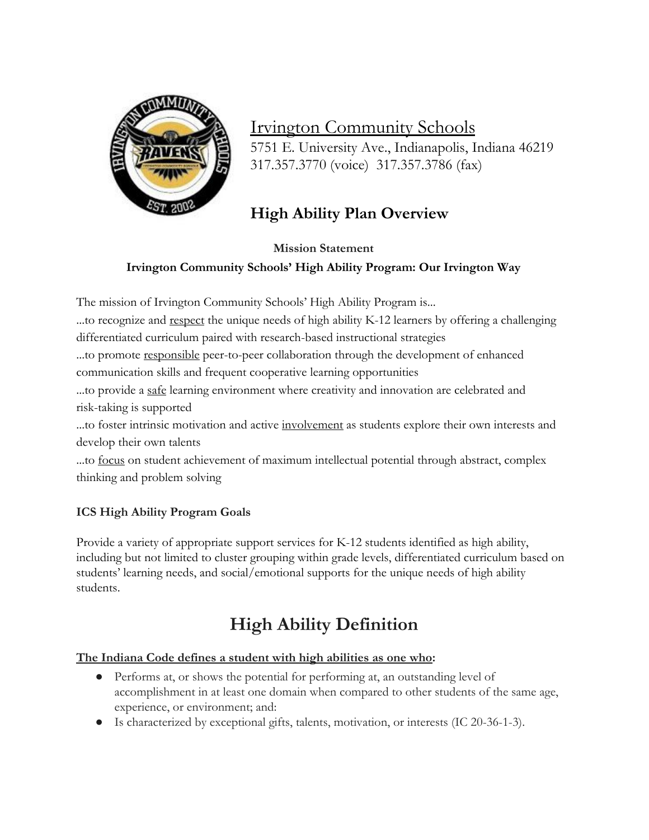

### Irvington Community Schools 5751 E. University Ave., Indianapolis, Indiana 46219 317.357.3770 (voice) 317.357.3786 (fax)

### **High Ability Plan Overview**

**Mission Statement**

### **Irvington Community Schools' High Ability Program: Our Irvington Way**

The mission of Irvington Community Schools' High Ability Program is...

...to recognize and respect the unique needs of high ability K-12 learners by offering a challenging differentiated curriculum paired with research-based instructional strategies

...to promote responsible peer-to-peer collaboration through the development of enhanced communication skills and frequent cooperative learning opportunities

...to provide a safe learning environment where creativity and innovation are celebrated and risk-taking is supported

...to foster intrinsic motivation and active involvement as students explore their own interests and develop their own talents

...to focus on student achievement of maximum intellectual potential through abstract, complex thinking and problem solving

### **ICS High Ability Program Goals**

Provide a variety of appropriate support services for K-12 students identified as high ability, including but not limited to cluster grouping within grade levels, differentiated curriculum based on students' learning needs, and social/emotional supports for the unique needs of high ability students.

# **High Ability Definition**

### **The Indiana Code defines a student with high abilities as one who:**

- Performs at, or shows the potential for performing at, an outstanding level of accomplishment in at least one domain when compared to other students of the same age, experience, or environment; and:
- Is characterized by exceptional gifts, talents, motivation, or interests (IC 20-36-1-3).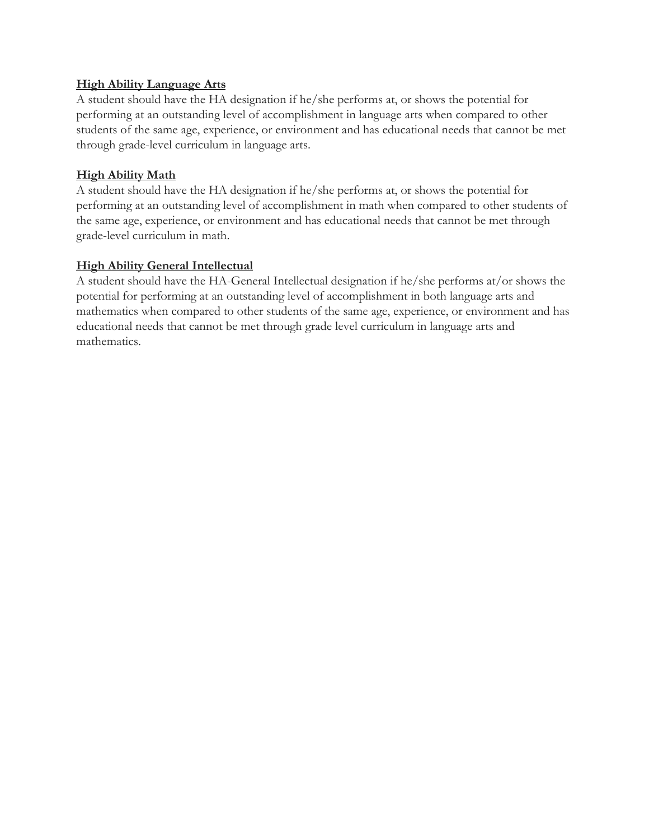#### **High Ability Language Arts**

A student should have the HA designation if he/she performs at, or shows the potential for performing at an outstanding level of accomplishment in language arts when compared to other students of the same age, experience, or environment and has educational needs that cannot be met through grade-level curriculum in language arts.

#### **High Ability Math**

A student should have the HA designation if he/she performs at, or shows the potential for performing at an outstanding level of accomplishment in math when compared to other students of the same age, experience, or environment and has educational needs that cannot be met through grade-level curriculum in math.

#### **High Ability General Intellectual**

A student should have the HA-General Intellectual designation if he/she performs at/or shows the potential for performing at an outstanding level of accomplishment in both language arts and mathematics when compared to other students of the same age, experience, or environment and has educational needs that cannot be met through grade level curriculum in language arts and mathematics.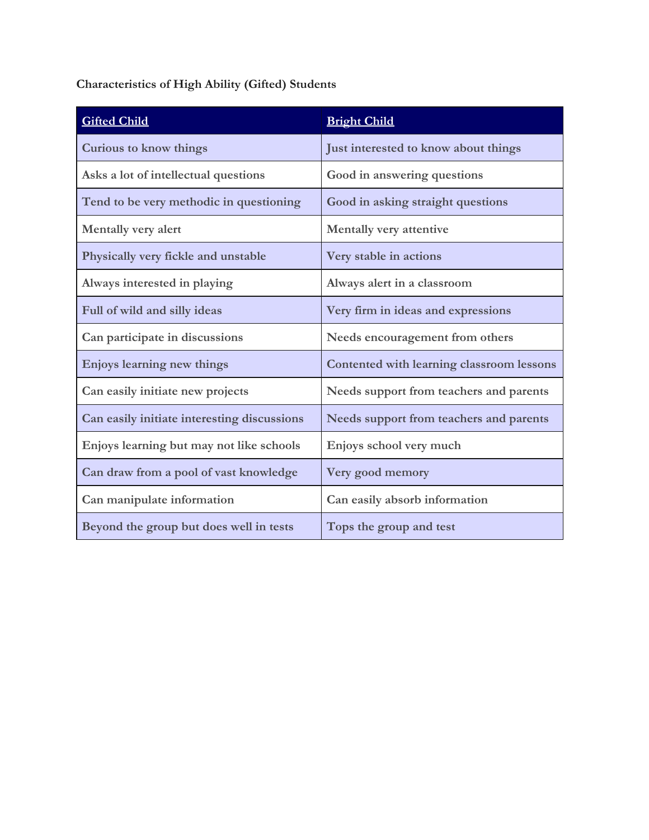### **Characteristics of High Ability (Gifted) Students**

| <b>Gifted Child</b>                         | <b>Bright Child</b>                       |
|---------------------------------------------|-------------------------------------------|
| <b>Curious to know things</b>               | Just interested to know about things      |
| Asks a lot of intellectual questions        | Good in answering questions               |
| Tend to be very methodic in questioning     | Good in asking straight questions         |
| <b>Mentally very alert</b>                  | Mentally very attentive                   |
| Physically very fickle and unstable         | Very stable in actions                    |
| Always interested in playing                | Always alert in a classroom               |
| Full of wild and silly ideas                | Very firm in ideas and expressions        |
| Can participate in discussions              | Needs encouragement from others           |
| Enjoys learning new things                  | Contented with learning classroom lessons |
| Can easily initiate new projects            | Needs support from teachers and parents   |
| Can easily initiate interesting discussions | Needs support from teachers and parents   |
| Enjoys learning but may not like schools    | Enjoys school very much                   |
| Can draw from a pool of vast knowledge      | Very good memory                          |
| Can manipulate information                  | Can easily absorb information             |
| Beyond the group but does well in tests     | Tops the group and test                   |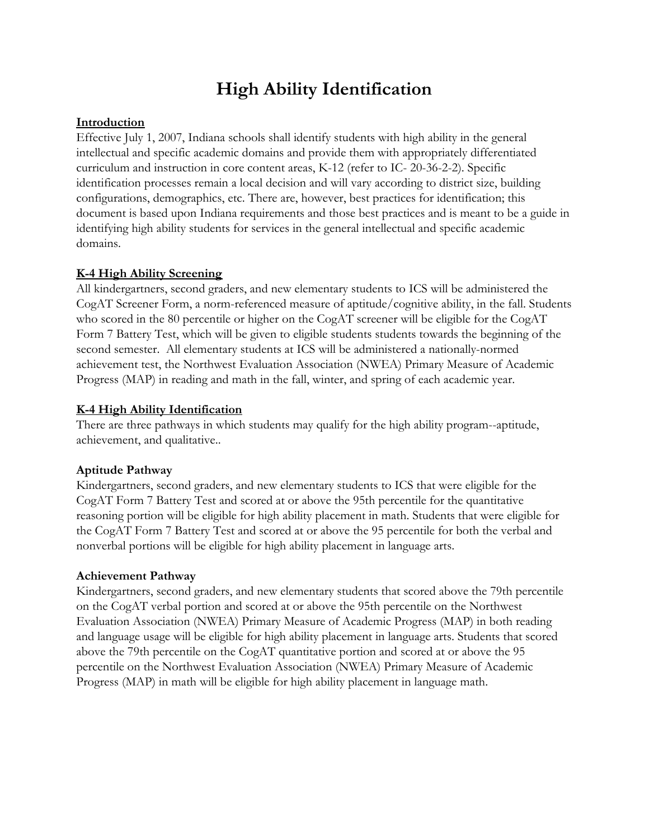## **High Ability Identification**

#### **Introduction**

Effective July 1, 2007, Indiana schools shall identify students with high ability in the general intellectual and specific academic domains and provide them with appropriately differentiated curriculum and instruction in core content areas, K-12 (refer to IC- 20-36-2-2). Specific identification processes remain a local decision and will vary according to district size, building configurations, demographics, etc. There are, however, best practices for identification; this document is based upon Indiana requirements and those best practices and is meant to be a guide in identifying high ability students for services in the general intellectual and specific academic domains.

#### **K-4 High Ability Screening**

All kindergartners, second graders, and new elementary students to ICS will be administered the CogAT Screener Form, a norm-referenced measure of aptitude/cognitive ability, in the fall. Students who scored in the 80 percentile or higher on the CogAT screener will be eligible for the CogAT Form 7 Battery Test, which will be given to eligible students students towards the beginning of the second semester. All elementary students at ICS will be administered a nationally-normed achievement test, the Northwest Evaluation Association (NWEA) Primary Measure of Academic Progress (MAP) in reading and math in the fall, winter, and spring of each academic year.

#### **K-4 High Ability Identification**

There are three pathways in which students may qualify for the high ability program--aptitude, achievement, and qualitative..

#### **Aptitude Pathway**

Kindergartners, second graders, and new elementary students to ICS that were eligible for the CogAT Form 7 Battery Test and scored at or above the 95th percentile for the quantitative reasoning portion will be eligible for high ability placement in math. Students that were eligible for the CogAT Form 7 Battery Test and scored at or above the 95 percentile for both the verbal and nonverbal portions will be eligible for high ability placement in language arts.

#### **Achievement Pathway**

Kindergartners, second graders, and new elementary students that scored above the 79th percentile on the CogAT verbal portion and scored at or above the 95th percentile on the Northwest Evaluation Association (NWEA) Primary Measure of Academic Progress (MAP) in both reading and language usage will be eligible for high ability placement in language arts. Students that scored above the 79th percentile on the CogAT quantitative portion and scored at or above the 95 percentile on the Northwest Evaluation Association (NWEA) Primary Measure of Academic Progress (MAP) in math will be eligible for high ability placement in language math.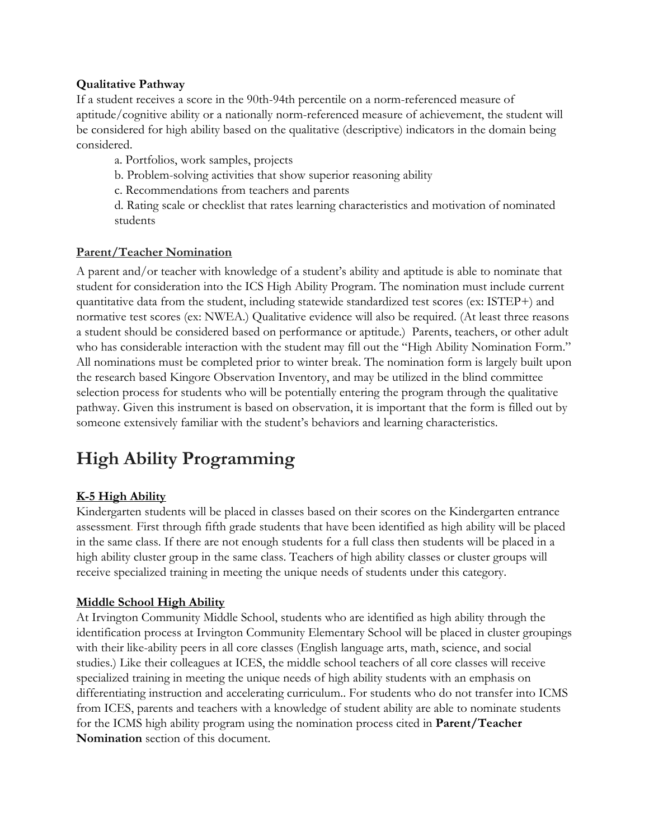#### **Qualitative Pathway**

If a student receives a score in the 90th-94th percentile on a norm-referenced measure of aptitude/cognitive ability or a nationally norm-referenced measure of achievement, the student will be considered for high ability based on the qualitative (descriptive) indicators in the domain being considered.

- a. Portfolios, work samples, projects
- b. Problem-solving activities that show superior reasoning ability
- c. Recommendations from teachers and parents
- d. Rating scale or checklist that rates learning characteristics and motivation of nominated students

#### **Parent/Teacher Nomination**

A parent and/or teacher with knowledge of a student's ability and aptitude is able to nominate that student for consideration into the ICS High Ability Program. The nomination must include current quantitative data from the student, including statewide standardized test scores (ex: ISTEP+) and normative test scores (ex: NWEA.) Qualitative evidence will also be required. (At least three reasons a student should be considered based on performance or aptitude.) Parents, teachers, or other adult who has considerable interaction with the student may fill out the "High Ability Nomination Form." All nominations must be completed prior to winter break. The nomination form is largely built upon the research based Kingore Observation Inventory, and may be utilized in the blind committee selection process for students who will be potentially entering the program through the qualitative pathway. Given this instrument is based on observation, it is important that the form is filled out by someone extensively familiar with the student's behaviors and learning characteristics.

## **High Ability Programming**

#### **K-5 High Ability**

Kindergarten students will be placed in classes based on their scores on the Kindergarten entrance assessment. First through fifth grade students that have been identified as high ability will be placed in the same class. If there are not enough students for a full class then students will be placed in a high ability cluster group in the same class. Teachers of high ability classes or cluster groups will receive specialized training in meeting the unique needs of students under this category.

#### **Middle School High Ability**

At Irvington Community Middle School, students who are identified as high ability through the identification process at Irvington Community Elementary School will be placed in cluster groupings with their like-ability peers in all core classes (English language arts, math, science, and social studies.) Like their colleagues at ICES, the middle school teachers of all core classes will receive specialized training in meeting the unique needs of high ability students with an emphasis on differentiating instruction and accelerating curriculum.. For students who do not transfer into ICMS from ICES, parents and teachers with a knowledge of student ability are able to nominate students for the ICMS high ability program using the nomination process cited in **Parent/Teacher Nomination** section of this document.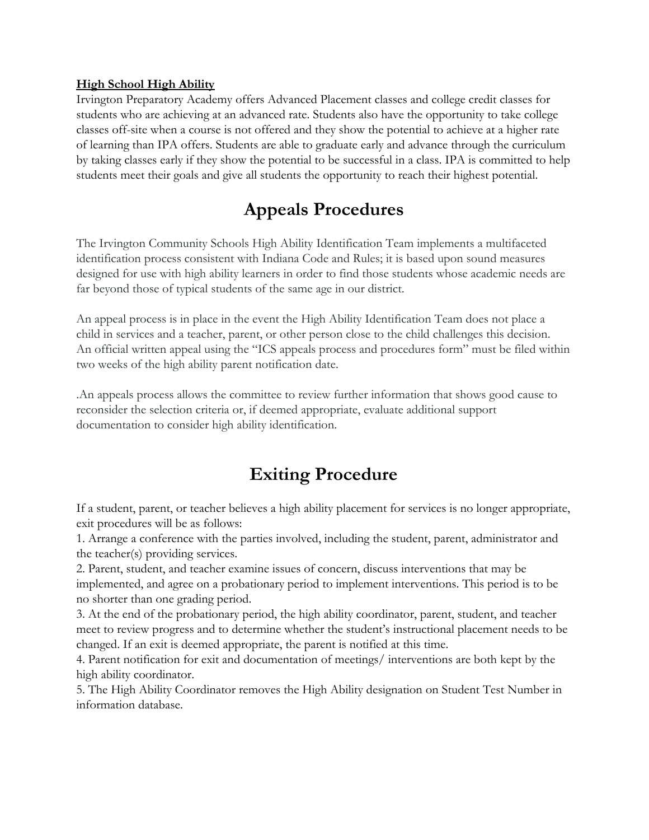#### **High School High Ability**

Irvington Preparatory Academy offers Advanced Placement classes and college credit classes for students who are achieving at an advanced rate. Students also have the opportunity to take college classes off-site when a course is not offered and they show the potential to achieve at a higher rate of learning than IPA offers. Students are able to graduate early and advance through the curriculum by taking classes early if they show the potential to be successful in a class. IPA is committed to help students meet their goals and give all students the opportunity to reach their highest potential.

## **Appeals Procedures**

The Irvington Community Schools High Ability Identification Team implements a multifaceted identification process consistent with Indiana Code and Rules; it is based upon sound measures designed for use with high ability learners in order to find those students whose academic needs are far beyond those of typical students of the same age in our district.

An appeal process is in place in the event the High Ability Identification Team does not place a child in services and a teacher, parent, or other person close to the child challenges this decision. An official written appeal using the "ICS appeals process and procedures form" must be filed within two weeks of the high ability parent notification date.

.An appeals process allows the committee to review further information that shows good cause to reconsider the selection criteria or, if deemed appropriate, evaluate additional support documentation to consider high ability identification.

### **Exiting Procedure**

If a student, parent, or teacher believes a high ability placement for services is no longer appropriate, exit procedures will be as follows:

1. Arrange a conference with the parties involved, including the student, parent, administrator and the teacher(s) providing services.

2. Parent, student, and teacher examine issues of concern, discuss interventions that may be implemented, and agree on a probationary period to implement interventions. This period is to be no shorter than one grading period.

3. At the end of the probationary period, the high ability coordinator, parent, student, and teacher meet to review progress and to determine whether the student's instructional placement needs to be changed. If an exit is deemed appropriate, the parent is notified at this time.

4. Parent notification for exit and documentation of meetings/ interventions are both kept by the high ability coordinator.

5. The High Ability Coordinator removes the High Ability designation on Student Test Number in information database.